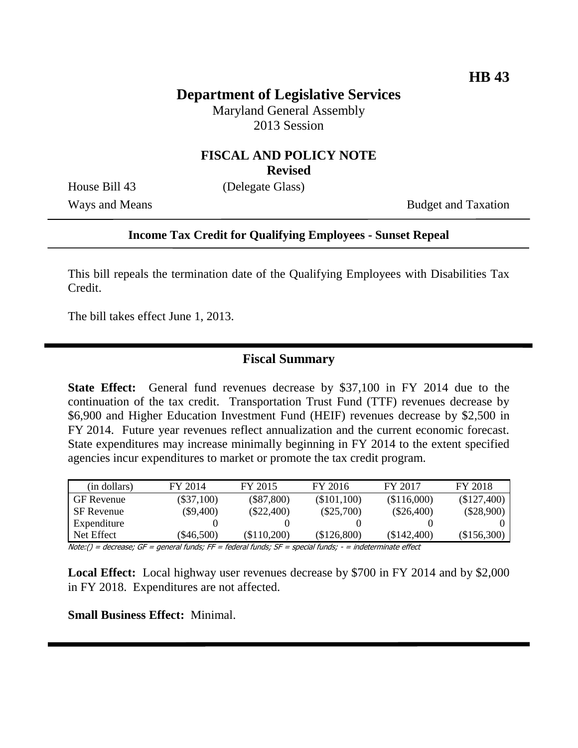## **Department of Legislative Services**

Maryland General Assembly 2013 Session

# **FISCAL AND POLICY NOTE**

**Revised**

House Bill 43 (Delegate Glass)

Ways and Means Budget and Taxation

#### **Income Tax Credit for Qualifying Employees - Sunset Repeal**

This bill repeals the termination date of the Qualifying Employees with Disabilities Tax Credit.

The bill takes effect June 1, 2013.

#### **Fiscal Summary**

**State Effect:** General fund revenues decrease by \$37,100 in FY 2014 due to the continuation of the tax credit. Transportation Trust Fund (TTF) revenues decrease by \$6,900 and Higher Education Investment Fund (HEIF) revenues decrease by \$2,500 in FY 2014. Future year revenues reflect annualization and the current economic forecast. State expenditures may increase minimally beginning in FY 2014 to the extent specified agencies incur expenditures to market or promote the tax credit program.

| (in dollars)      | FY 2014      | FY 2015      | FY 2016      | FY 2017       | FY 2018      |
|-------------------|--------------|--------------|--------------|---------------|--------------|
| <b>GF</b> Revenue | $(\$37,100)$ | $(\$87,800)$ | (\$101,100)  | (\$116,000)   | (\$127,400)  |
| SF Revenue        | $(\$9,400)$  | $(\$22,400)$ | $(\$25,700)$ | $(\$26,400)$  | $(\$28,900)$ |
| Expenditure       |              |              |              |               |              |
| Net Effect        | (\$46.500)   | (\$110.200)  | (\$126,800)  | $(\$142,400)$ | (\$156,300)  |

Note:() = decrease; GF = general funds; FF = federal funds; SF = special funds; - = indeterminate effect

**Local Effect:** Local highway user revenues decrease by \$700 in FY 2014 and by \$2,000 in FY 2018. Expenditures are not affected.

**Small Business Effect:** Minimal.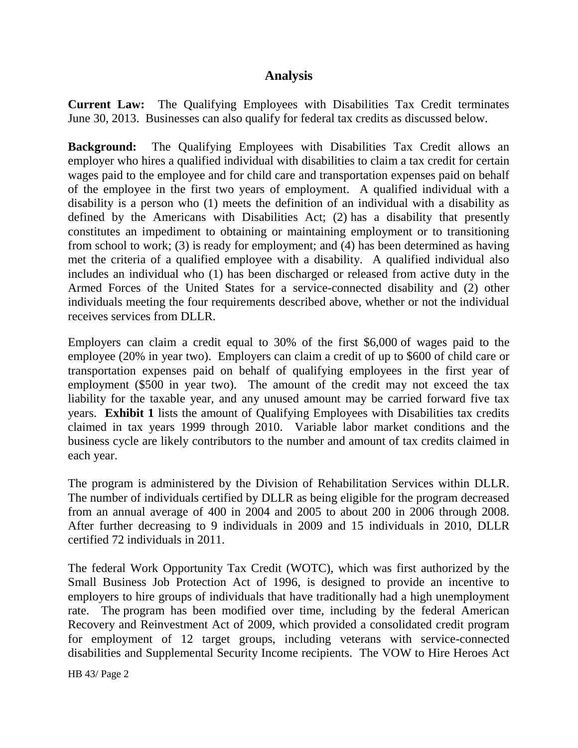#### **Analysis**

**Current Law:** The Qualifying Employees with Disabilities Tax Credit terminates June 30, 2013. Businesses can also qualify for federal tax credits as discussed below.

**Background:** The Qualifying Employees with Disabilities Tax Credit allows an employer who hires a qualified individual with disabilities to claim a tax credit for certain wages paid to the employee and for child care and transportation expenses paid on behalf of the employee in the first two years of employment. A qualified individual with a disability is a person who (1) meets the definition of an individual with a disability as defined by the Americans with Disabilities Act; (2) has a disability that presently constitutes an impediment to obtaining or maintaining employment or to transitioning from school to work; (3) is ready for employment; and (4) has been determined as having met the criteria of a qualified employee with a disability. A qualified individual also includes an individual who (1) has been discharged or released from active duty in the Armed Forces of the United States for a service-connected disability and (2) other individuals meeting the four requirements described above, whether or not the individual receives services from DLLR.

Employers can claim a credit equal to 30% of the first \$6,000 of wages paid to the employee (20% in year two). Employers can claim a credit of up to \$600 of child care or transportation expenses paid on behalf of qualifying employees in the first year of employment (\$500 in year two). The amount of the credit may not exceed the tax liability for the taxable year, and any unused amount may be carried forward five tax years. **Exhibit 1** lists the amount of Qualifying Employees with Disabilities tax credits claimed in tax years 1999 through 2010. Variable labor market conditions and the business cycle are likely contributors to the number and amount of tax credits claimed in each year.

The program is administered by the Division of Rehabilitation Services within DLLR. The number of individuals certified by DLLR as being eligible for the program decreased from an annual average of 400 in 2004 and 2005 to about 200 in 2006 through 2008. After further decreasing to 9 individuals in 2009 and 15 individuals in 2010, DLLR certified 72 individuals in 2011.

The federal Work Opportunity Tax Credit (WOTC), which was first authorized by the Small Business Job Protection Act of 1996, is designed to provide an incentive to employers to hire groups of individuals that have traditionally had a high unemployment rate. The program has been modified over time, including by the federal American Recovery and Reinvestment Act of 2009, which provided a consolidated credit program for employment of 12 target groups, including veterans with service-connected disabilities and Supplemental Security Income recipients. The VOW to Hire Heroes Act

HB 43/ Page 2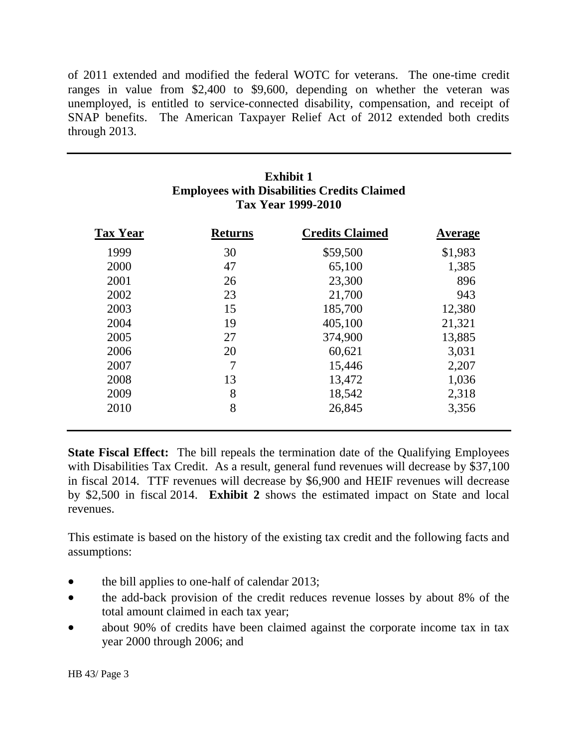of 2011 extended and modified the federal WOTC for veterans. The one-time credit ranges in value from \$2,400 to \$9,600, depending on whether the veteran was unemployed, is entitled to service-connected disability, compensation, and receipt of SNAP benefits. The American Taxpayer Relief Act of 2012 extended both credits through 2013.

| <b>Exhibit 1</b><br><b>Employees with Disabilities Credits Claimed</b><br>Tax Year 1999-2010 |                |                        |         |  |  |  |  |
|----------------------------------------------------------------------------------------------|----------------|------------------------|---------|--|--|--|--|
| <b>Tax Year</b>                                                                              | <b>Returns</b> | <b>Credits Claimed</b> | Average |  |  |  |  |
| 1999                                                                                         | 30             | \$59,500               | \$1,983 |  |  |  |  |
| 2000                                                                                         | 47             | 65,100                 | 1,385   |  |  |  |  |
| 2001                                                                                         | 26             | 23,300                 | 896     |  |  |  |  |
| 2002                                                                                         | 23             | 21,700                 | 943     |  |  |  |  |
| 2003                                                                                         | 15             | 185,700                | 12,380  |  |  |  |  |
| 2004                                                                                         | 19             | 405,100                | 21,321  |  |  |  |  |
| 2005                                                                                         | 27             | 374,900                | 13,885  |  |  |  |  |
| 2006                                                                                         | 20             | 60,621                 | 3,031   |  |  |  |  |
| 2007                                                                                         | 7              | 15,446                 | 2,207   |  |  |  |  |
| 2008                                                                                         | 13             | 13,472                 | 1,036   |  |  |  |  |
| 2009                                                                                         | 8              | 18,542                 | 2,318   |  |  |  |  |
| 2010                                                                                         | 8              | 26,845                 | 3,356   |  |  |  |  |

**State Fiscal Effect:** The bill repeals the termination date of the Qualifying Employees with Disabilities Tax Credit. As a result, general fund revenues will decrease by \$37,100 in fiscal 2014. TTF revenues will decrease by \$6,900 and HEIF revenues will decrease by \$2,500 in fiscal 2014. **Exhibit 2** shows the estimated impact on State and local revenues.

This estimate is based on the history of the existing tax credit and the following facts and assumptions:

- the bill applies to one-half of calendar 2013;
- the add-back provision of the credit reduces revenue losses by about 8% of the total amount claimed in each tax year;
- about 90% of credits have been claimed against the corporate income tax in tax year 2000 through 2006; and

HB 43/ Page 3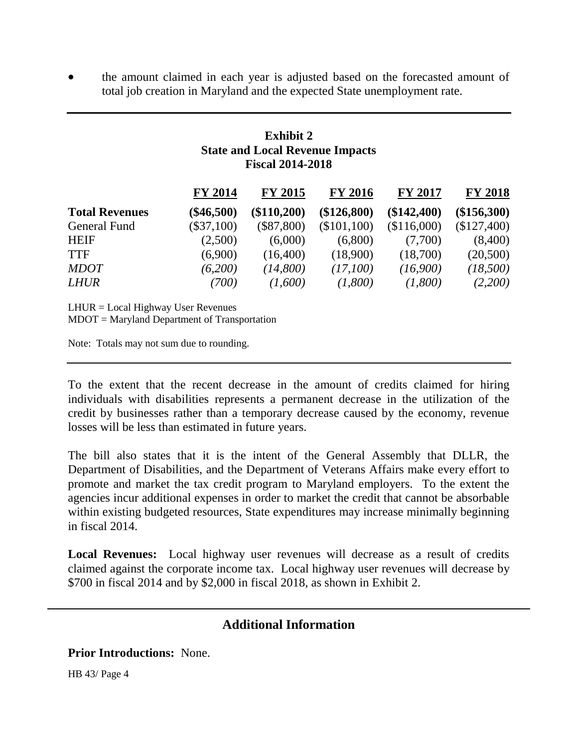the amount claimed in each year is adjusted based on the forecasted amount of total job creation in Maryland and the expected State unemployment rate.

## **Exhibit 2 State and Local Revenue Impacts Fiscal 2014-2018**

|                       | <b>FY 2014</b> | <b>FY 2015</b> | <b>FY 2016</b> | <b>FY 2017</b> | <b>FY 2018</b> |
|-----------------------|----------------|----------------|----------------|----------------|----------------|
| <b>Total Revenues</b> | $(\$46,500)$   | (\$110,200)    | (\$126,800)    | (\$142,400)    | (\$156,300)    |
| General Fund          | $(\$37,100)$   | $(\$87,800)$   | (\$101,100)    | (\$116,000)    | (\$127,400)    |
| <b>HEIF</b>           | (2,500)        | (6,000)        | (6,800)        | (7,700)        | (8,400)        |
| <b>TTF</b>            | (6,900)        | (16,400)       | (18,900)       | (18,700)       | (20,500)       |
| <b>MDOT</b>           | (6,200)        | (14,800)       | (17,100)       | (16,900)       | (18,500)       |
| <b>LHUR</b>           | (700)          | (1,600)        | (1,800)        | (1,800)        | (2,200)        |

LHUR = Local Highway User Revenues

MDOT = Maryland Department of Transportation

Note: Totals may not sum due to rounding.

To the extent that the recent decrease in the amount of credits claimed for hiring individuals with disabilities represents a permanent decrease in the utilization of the credit by businesses rather than a temporary decrease caused by the economy, revenue losses will be less than estimated in future years.

The bill also states that it is the intent of the General Assembly that DLLR, the Department of Disabilities, and the Department of Veterans Affairs make every effort to promote and market the tax credit program to Maryland employers. To the extent the agencies incur additional expenses in order to market the credit that cannot be absorbable within existing budgeted resources, State expenditures may increase minimally beginning in fiscal 2014.

**Local Revenues:** Local highway user revenues will decrease as a result of credits claimed against the corporate income tax. Local highway user revenues will decrease by \$700 in fiscal 2014 and by \$2,000 in fiscal 2018, as shown in Exhibit 2.

## **Additional Information**

**Prior Introductions:** None.

HB 43/ Page 4